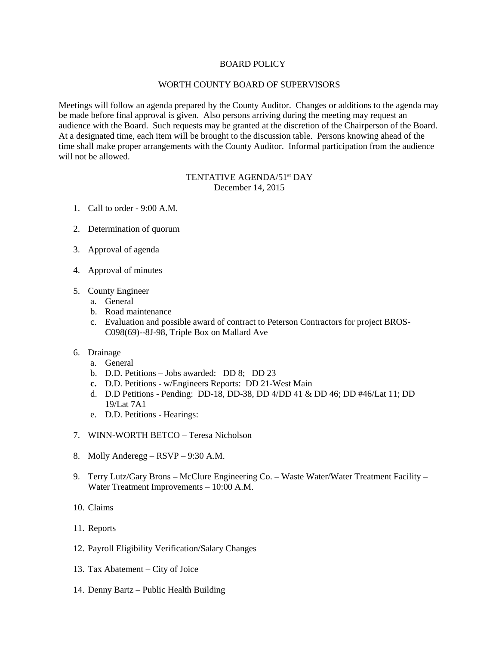## BOARD POLICY

## WORTH COUNTY BOARD OF SUPERVISORS

Meetings will follow an agenda prepared by the County Auditor. Changes or additions to the agenda may be made before final approval is given. Also persons arriving during the meeting may request an audience with the Board. Such requests may be granted at the discretion of the Chairperson of the Board. At a designated time, each item will be brought to the discussion table. Persons knowing ahead of the time shall make proper arrangements with the County Auditor. Informal participation from the audience will not be allowed.

## TENTATIVE AGENDA/51<sup>st</sup> DAY December 14, 2015

- 1. Call to order 9:00 A.M.
- 2. Determination of quorum
- 3. Approval of agenda
- 4. Approval of minutes
- 5. County Engineer
	- a. General
	- b. Road maintenance
	- c. Evaluation and possible award of contract to Peterson Contractors for project BROS-C098(69)--8J-98, Triple Box on Mallard Ave
- 6. Drainage
	- a. General
	- b. D.D. Petitions Jobs awarded: DD 8; DD 23
	- **c.** D.D. Petitions w/Engineers Reports: DD 21-West Main
	- d. D.D Petitions Pending: DD-18, DD-38, DD 4/DD 41 & DD 46; DD #46/Lat 11; DD 19/Lat 7A1
	- e. D.D. Petitions Hearings:
- 7. WINN-WORTH BETCO Teresa Nicholson
- 8. Molly Anderegg RSVP 9:30 A.M.
- 9. Terry Lutz/Gary Brons McClure Engineering Co. Waste Water/Water Treatment Facility Water Treatment Improvements – 10:00 A.M.
- 10. Claims
- 11. Reports
- 12. Payroll Eligibility Verification/Salary Changes
- 13. Tax Abatement City of Joice
- 14. Denny Bartz Public Health Building